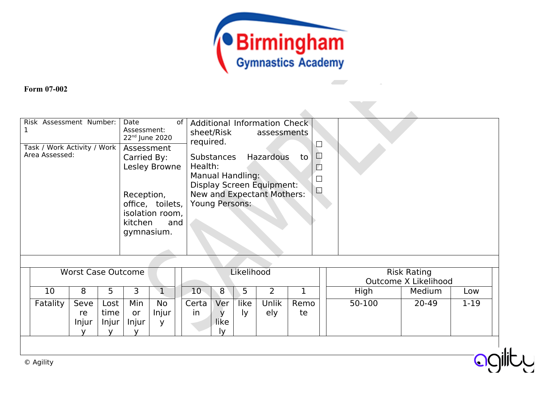

 $\mathcal{L}_{\mathcal{A}}$ 

 $\lambda$ 

## **Form 07-002**

| Risk Assessment Number:     | Date                       |                                                           |        |
|-----------------------------|----------------------------|-----------------------------------------------------------|--------|
|                             | of  <br>Assessment:        | Additional Information Check<br>sheet/Risk<br>assessments |        |
|                             | 22 <sup>nd</sup> June 2020 | required.                                                 |        |
| Task / Work Activity / Work | Assessment                 |                                                           |        |
| Area Assessed:              | Carried By:                | Substances<br>Hazardous<br>to                             | $\Box$ |
|                             | Lesley Browne              | Health:                                                   |        |
|                             |                            | Manual Handling:                                          | $\Box$ |
|                             |                            | Display Screen Equipment:                                 |        |
|                             | Reception,                 | New and Expectant Mothers:                                | $\Box$ |
|                             | office, toilets,           | Young Persons:                                            |        |
|                             | isolation room,            |                                                           |        |
|                             | kitchen<br>and             |                                                           |        |
|                             | gymnasium.                 |                                                           |        |
|                             |                            |                                                           |        |
|                             |                            |                                                           |        |
|                             |                            |                                                           |        |

| <b>Worst Case Outcome</b> |                     |                       |                    |                         |                       | Likelihood        |            |                     |            | <b>Risk Rating</b><br>Outcome X Likelihood |        |          |
|---------------------------|---------------------|-----------------------|--------------------|-------------------------|-----------------------|-------------------|------------|---------------------|------------|--------------------------------------------|--------|----------|
| 10                        | 8                   |                       |                    |                         | 10                    | 8                 |            |                     |            | High                                       | Medium | Low      |
| Fatality                  | Seve<br>re<br>Injur | Lost<br>time<br>Injur | Min<br>or<br>Injur | <b>No</b><br>Injur<br>v | Certa<br>$\mathsf{I}$ | Ver<br>like<br>I٧ | like<br>I۷ | <b>Jnlik</b><br>ely | Remo<br>te | 50-100                                     | 20-49  | $1 - 19$ |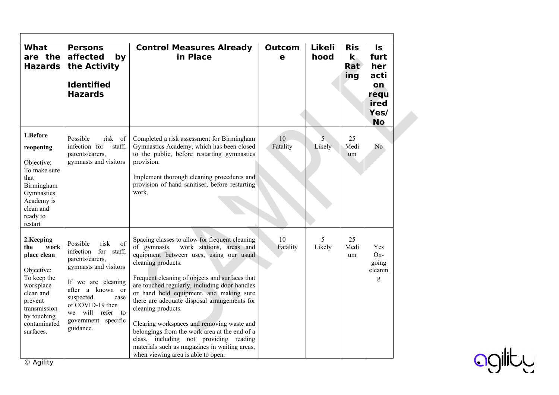| <b>What</b><br>are the<br><b>Hazards</b>                                                                                                                              | <b>Persons</b><br>affected<br>by<br>the Activity<br><b>Identified</b><br><b>Hazards</b>                                                                                                                                               | <b>Control Measures Already</b><br>in Place                                                                                                                                                                                                                                                                                                                                                                                                                                                                                                                                                                    | <b>Outcom</b><br>e | <b>Likeli</b><br>hood | <b>Ris</b><br>$\mathbf{k}$<br>Rat<br>ing | <b>Is</b><br>furt<br>her<br>acti<br>on<br>requ<br>ired<br>Yes/<br><b>No</b> |
|-----------------------------------------------------------------------------------------------------------------------------------------------------------------------|---------------------------------------------------------------------------------------------------------------------------------------------------------------------------------------------------------------------------------------|----------------------------------------------------------------------------------------------------------------------------------------------------------------------------------------------------------------------------------------------------------------------------------------------------------------------------------------------------------------------------------------------------------------------------------------------------------------------------------------------------------------------------------------------------------------------------------------------------------------|--------------------|-----------------------|------------------------------------------|-----------------------------------------------------------------------------|
| 1.Before<br>reopening<br>Objective:<br>To make sure<br>that<br>Birmingham<br>Gymnastics<br>Academy is<br>clean and<br>ready to<br>restart                             | Possible<br>risk of<br>infection for<br>staff,<br>parents/carers,<br>gymnasts and visitors                                                                                                                                            | Completed a risk assessment for Birmingham<br>Gymnastics Academy, which has been closed<br>to the public, before restarting gymnastics<br>provision.<br>Implement thorough cleaning procedures and<br>provision of hand sanitiser, before restarting<br>work.                                                                                                                                                                                                                                                                                                                                                  | 10<br>Fatality     | 5<br>Likely           | 25<br>Medi<br>um                         | N <sub>o</sub>                                                              |
| 2.Keeping<br>work<br>the<br>place clean<br>Objective:<br>To keep the<br>workplace<br>clean and<br>prevent<br>transmission<br>by touching<br>contaminated<br>surfaces. | Possible<br>risk<br>of<br>infection for staff,<br>parents/carers,<br>gymnasts and visitors<br>If we are cleaning<br>after a known or<br>suspected<br>case<br>of COVID-19 then<br>we will refer to<br>government specific<br>guidance. | Spacing classes to allow for frequent cleaning<br>work stations, areas and<br>of gymnasts<br>equipment between uses, using our usual<br>cleaning products.<br>Frequent cleaning of objects and surfaces that<br>are touched regularly, including door handles<br>or hand held equipment, and making sure<br>there are adequate disposal arrangements for<br>cleaning products.<br>Clearing workspaces and removing waste and<br>belongings from the work area at the end of a<br>class, including not providing reading<br>materials such as magazines in waiting areas,<br>when viewing area is able to open. | 10<br>Fatality     | 5<br>Likely           | 25<br>Medi<br>um                         | <b>Yes</b><br>On-<br>going<br>cleanin<br>g                                  |

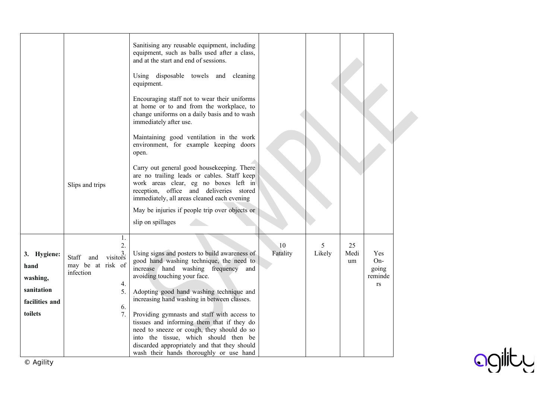|                                                                            | Slips and trips                                                                                     | Sanitising any reusable equipment, including<br>equipment, such as balls used after a class,<br>and at the start and end of sessions.<br>Using disposable towels and cleaning<br>equipment.<br>Encouraging staff not to wear their uniforms<br>at home or to and from the workplace, to<br>change uniforms on a daily basis and to wash<br>immediately after use.<br>Maintaining good ventilation in the work<br>environment, for example keeping doors<br>open.<br>Carry out general good housekeeping. There<br>are no trailing leads or cables. Staff keep<br>work areas clear, eg no boxes left in<br>reception, office and deliveries stored<br>immediately, all areas cleaned each evening<br>May be injuries if people trip over objects or |                |             |                  |                                             |  |
|----------------------------------------------------------------------------|-----------------------------------------------------------------------------------------------------|----------------------------------------------------------------------------------------------------------------------------------------------------------------------------------------------------------------------------------------------------------------------------------------------------------------------------------------------------------------------------------------------------------------------------------------------------------------------------------------------------------------------------------------------------------------------------------------------------------------------------------------------------------------------------------------------------------------------------------------------------|----------------|-------------|------------------|---------------------------------------------|--|
|                                                                            |                                                                                                     | slip on spillages                                                                                                                                                                                                                                                                                                                                                                                                                                                                                                                                                                                                                                                                                                                                  |                |             |                  |                                             |  |
|                                                                            |                                                                                                     |                                                                                                                                                                                                                                                                                                                                                                                                                                                                                                                                                                                                                                                                                                                                                    |                |             |                  |                                             |  |
| 3. Hygiene:<br>hand<br>washing,<br>sanitation<br>facilities and<br>toilets | 1.<br>2.<br>$\frac{3}{1}$<br>Staff<br>and<br>may be at risk of<br>infection<br>4.<br>5.<br>6.<br>7. | Using signs and posters to build awareness of<br>good hand washing technique, the need to<br>increase hand washing frequency<br>and<br>avoiding touching your face.<br>Adopting good hand washing technique and<br>increasing hand washing in between classes.<br>Providing gymnasts and staff with access to<br>tissues and informing them that if they do<br>need to sneeze or cough, they should do so<br>into the tissue, which should then be<br>discarded appropriately and that they should<br>wash their hands thoroughly or use hand                                                                                                                                                                                                      | 10<br>Fatality | 5<br>Likely | 25<br>Medi<br>um | <b>Yes</b><br>On-<br>going<br>reminde<br>rs |  |

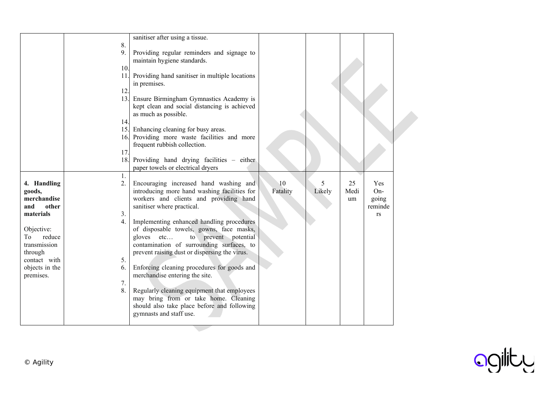|                      | sanitiser after using a tissue.                |          |        |      |                  |  |
|----------------------|------------------------------------------------|----------|--------|------|------------------|--|
| 8.                   |                                                |          |        |      |                  |  |
| 9.                   | Providing regular reminders and signage to     |          |        |      |                  |  |
|                      | maintain hygiene standards.                    |          |        |      |                  |  |
| 10.                  |                                                |          |        |      |                  |  |
| 11.                  | Providing hand sanitiser in multiple locations |          |        |      |                  |  |
|                      | in premises.                                   |          |        |      |                  |  |
| 12.                  |                                                |          |        |      |                  |  |
|                      | 13. Ensure Birmingham Gymnastics Academy is    |          |        |      |                  |  |
|                      | kept clean and social distancing is achieved   |          |        |      |                  |  |
|                      | as much as possible.                           |          |        |      |                  |  |
| 14.                  |                                                |          |        |      |                  |  |
|                      | 15. Enhancing cleaning for busy areas.         |          |        |      |                  |  |
|                      | 16. Providing more waste facilities and more   |          |        |      |                  |  |
|                      | frequent rubbish collection.                   |          |        |      |                  |  |
| 17.                  |                                                |          |        |      |                  |  |
| 18.                  | Providing hand drying facilities - either      |          |        |      |                  |  |
|                      | paper towels or electrical dryers              |          |        |      |                  |  |
| 1.                   |                                                |          |        |      |                  |  |
| 4. Handling<br>2.    | Encouraging increased hand washing and         | 10       | 5      | 25   | Yes              |  |
| goods,               | introducing more hand washing facilities for   | Fatality | Likely | Medi | $On-$            |  |
| merchandise          | workers and clients and providing hand         |          |        |      |                  |  |
| other                |                                                |          |        | um   | going<br>reminde |  |
| and                  | sanitiser where practical.                     |          |        |      |                  |  |
| 3.<br>materials      |                                                |          |        |      | <b>rs</b>        |  |
| 4.                   | Implementing enhanced handling procedures      |          |        |      |                  |  |
| Objective:           | of disposable towels, gowns, face masks,       |          |        |      |                  |  |
| To<br>reduce         | gloves etc<br>to prevent potential             |          |        |      |                  |  |
| transmission         | contamination of surrounding surfaces, to      |          |        |      |                  |  |
| through              | prevent raising dust or dispersing the virus.  |          |        |      |                  |  |
| contact with<br>5.   |                                                |          |        |      |                  |  |
| objects in the<br>6. | Enforcing cleaning procedures for goods and    |          |        |      |                  |  |
| premises.            | merchandise entering the site.                 |          |        |      |                  |  |
| 7.                   |                                                |          |        |      |                  |  |
| 8.                   | Regularly cleaning equipment that employees    |          |        |      |                  |  |
|                      | may bring from or take home. Cleaning          |          |        |      |                  |  |
|                      | should also take place before and following    |          |        |      |                  |  |
|                      | gymnasts and staff use.                        |          |        |      |                  |  |
|                      |                                                |          |        |      |                  |  |

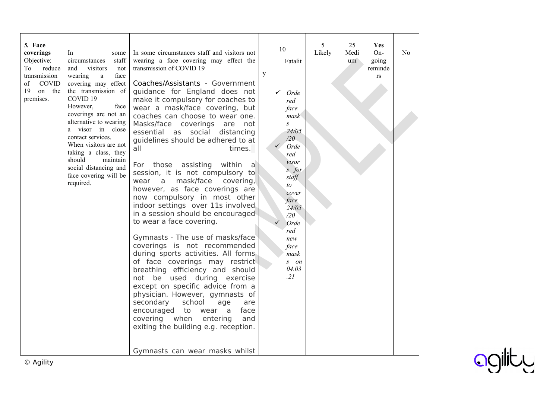| 5. Face<br>coverings<br>Objective:<br>To<br>reduce<br>transmission<br>of<br><b>COVID</b><br>19<br>on the<br>premises. | In<br>some<br>staff<br>circumstances<br>and<br>visitors<br>not<br>wearing<br>face<br>a<br>covering may effect<br>the transmission of<br>COVID <sub>19</sub><br>However,<br>face<br>coverings are not an<br>alternative to wearing<br>a visor in close<br>contact services.<br>When visitors are not<br>taking a class, they<br>should<br>maintain<br>social distancing and<br>face covering will be<br>required. | In some circumstances staff and visitors not<br>wearing a face covering may effect the<br>transmission of COVID 19<br>Coaches/Assistants - Government<br>guidance for England does not<br>make it compulsory for coaches to<br>wear a mask/face covering, but<br>coaches can choose to wear one.<br>Masks/face coverings<br>are<br>not<br>essential as social distancing<br>quidelines should be adhered to at<br>all<br>times.<br>For those assisting<br>within a<br>session, it is not compulsory to<br>mask/face<br>covering,<br>$\mathsf{a}$<br>wear<br>however, as face coverings are<br>now compulsory in most other<br>indoor settings over 11s involved<br>in a session should be encouraged<br>to wear a face covering.<br>Gymnasts - The use of masks/face<br>coverings is not recommended<br>during sports activities. All forms<br>of face coverings may restrict<br>breathing efficiency and should<br>not be used during exercise<br>except on specific advice from a<br>physician. However, gymnasts of<br>secondary<br>school<br>age<br>are<br>encouraged<br>to<br>face<br>wear<br>a<br>covering when<br>entering<br>and<br>exiting the building e.g. reception.<br>Gymnasts can wear masks whilst | 10<br>Fatalit<br>y<br>$\checkmark$ Orde<br>red<br>face<br>mask<br>$\mathcal{S}$<br>24/05<br>/20<br>Orde<br>red<br>visor<br>$s$ for<br>staff<br>to<br>cover<br>face<br>24/05<br>/20<br>Orde<br>red<br>new<br>face<br>mask<br>$S$ $\theta$<br>04.03<br>.21 | 5<br>Likely | 25<br>Medi<br>um | <b>Yes</b><br>$On-$<br>going<br>reminde<br>rs | N <sub>0</sub> |
|-----------------------------------------------------------------------------------------------------------------------|------------------------------------------------------------------------------------------------------------------------------------------------------------------------------------------------------------------------------------------------------------------------------------------------------------------------------------------------------------------------------------------------------------------|--------------------------------------------------------------------------------------------------------------------------------------------------------------------------------------------------------------------------------------------------------------------------------------------------------------------------------------------------------------------------------------------------------------------------------------------------------------------------------------------------------------------------------------------------------------------------------------------------------------------------------------------------------------------------------------------------------------------------------------------------------------------------------------------------------------------------------------------------------------------------------------------------------------------------------------------------------------------------------------------------------------------------------------------------------------------------------------------------------------------------------------------------------------------------------------------------------------------|----------------------------------------------------------------------------------------------------------------------------------------------------------------------------------------------------------------------------------------------------------|-------------|------------------|-----------------------------------------------|----------------|
|-----------------------------------------------------------------------------------------------------------------------|------------------------------------------------------------------------------------------------------------------------------------------------------------------------------------------------------------------------------------------------------------------------------------------------------------------------------------------------------------------------------------------------------------------|--------------------------------------------------------------------------------------------------------------------------------------------------------------------------------------------------------------------------------------------------------------------------------------------------------------------------------------------------------------------------------------------------------------------------------------------------------------------------------------------------------------------------------------------------------------------------------------------------------------------------------------------------------------------------------------------------------------------------------------------------------------------------------------------------------------------------------------------------------------------------------------------------------------------------------------------------------------------------------------------------------------------------------------------------------------------------------------------------------------------------------------------------------------------------------------------------------------------|----------------------------------------------------------------------------------------------------------------------------------------------------------------------------------------------------------------------------------------------------------|-------------|------------------|-----------------------------------------------|----------------|

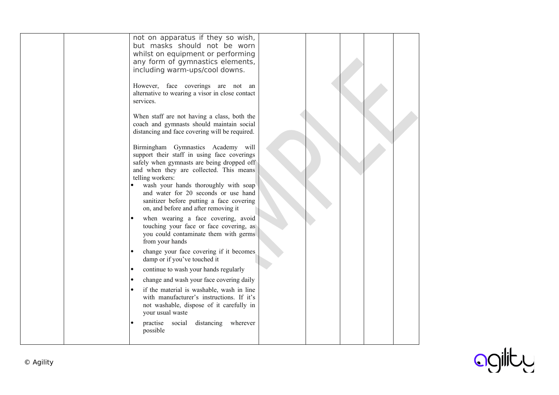| not on apparatus if they so wish,<br>but masks should not be worn<br>whilst on equipment or performing<br>any form of gymnastics elements,<br>including warm-ups/cool downs.<br>However, face coverings are not an<br>alternative to wearing a visor in close contact<br>services.<br>When staff are not having a class, both the<br>coach and gymnasts should maintain social<br>distancing and face covering will be required.<br>Birmingham Gymnastics Academy will<br>support their staff in using face coverings<br>safely when gymnasts are being dropped off<br>and when they are collected. This means<br>telling workers:<br>wash your hands thoroughly with soap<br>and water for 20 seconds or use hand<br>sanitizer before putting a face covering<br>on, and before and after removing it<br>when wearing a face covering, avoid<br>touching your face or face covering, as<br>you could contaminate them with germs<br>from your hands<br>change your face covering if it becomes<br>$\bullet$<br>damp or if you've touched it<br>continue to wash your hands regularly<br>$\bullet$<br>change and wash your face covering daily<br>$\bullet$<br>if the material is washable, wash in line<br>with manufacturer's instructions. If it's<br>not washable, dispose of it carefully in<br>your usual waste<br>practise social<br>distancing<br>wherever<br>possible |  |  |
|--------------------------------------------------------------------------------------------------------------------------------------------------------------------------------------------------------------------------------------------------------------------------------------------------------------------------------------------------------------------------------------------------------------------------------------------------------------------------------------------------------------------------------------------------------------------------------------------------------------------------------------------------------------------------------------------------------------------------------------------------------------------------------------------------------------------------------------------------------------------------------------------------------------------------------------------------------------------------------------------------------------------------------------------------------------------------------------------------------------------------------------------------------------------------------------------------------------------------------------------------------------------------------------------------------------------------------------------------------------------------------|--|--|
|--------------------------------------------------------------------------------------------------------------------------------------------------------------------------------------------------------------------------------------------------------------------------------------------------------------------------------------------------------------------------------------------------------------------------------------------------------------------------------------------------------------------------------------------------------------------------------------------------------------------------------------------------------------------------------------------------------------------------------------------------------------------------------------------------------------------------------------------------------------------------------------------------------------------------------------------------------------------------------------------------------------------------------------------------------------------------------------------------------------------------------------------------------------------------------------------------------------------------------------------------------------------------------------------------------------------------------------------------------------------------------|--|--|

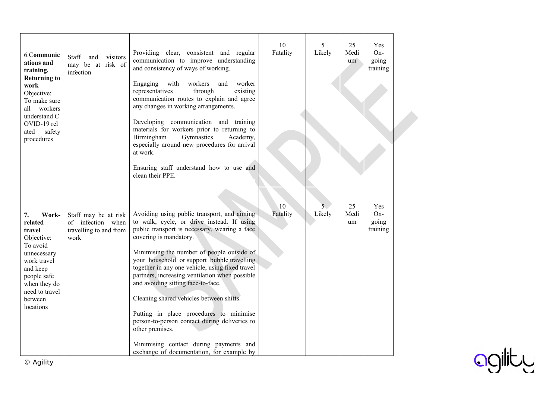| 6.Communic<br>ations and<br>training.<br><b>Returning to</b><br>work<br>Objective:<br>To make sure<br>all<br>workers<br>understand C<br>OVID-19 rel<br>safety<br>ated<br>procedures | visitors<br>Staff<br>and<br>may be at risk of<br>infection                  | Providing clear, consistent and regular<br>communication to improve understanding<br>and consistency of ways of working.<br>Engaging<br>with<br>workers<br>worker<br>and<br>representatives<br>through<br>existing<br>communication routes to explain and agree<br>any changes in working arrangements.<br>Developing communication and training<br>materials for workers prior to returning to<br>Gymnastics<br>Birmingham<br>Academy,<br>especially around new procedures for arrival<br>at work.<br>Ensuring staff understand how to use and<br>clean their PPE.                                                                                            | 10 <sup>10</sup><br>Fatality | 5<br>Likely              | 25<br>Medi<br>um | Yes<br>On-<br>going<br>training |  |
|-------------------------------------------------------------------------------------------------------------------------------------------------------------------------------------|-----------------------------------------------------------------------------|----------------------------------------------------------------------------------------------------------------------------------------------------------------------------------------------------------------------------------------------------------------------------------------------------------------------------------------------------------------------------------------------------------------------------------------------------------------------------------------------------------------------------------------------------------------------------------------------------------------------------------------------------------------|------------------------------|--------------------------|------------------|---------------------------------|--|
| 7.<br>Work-<br>related<br>travel<br>Objective:<br>To avoid<br>unnecessary<br>work travel<br>and keep<br>people safe<br>when they do<br>need to travel<br>between<br>locations       | Staff may be at risk<br>of infection when<br>travelling to and from<br>work | Avoiding using public transport, and aiming<br>to walk, cycle, or drive instead. If using<br>public transport is necessary, wearing a face<br>covering is mandatory.<br>Minimising the number of people outside of<br>your household or support bubble travelling<br>together in any one vehicle, using fixed travel<br>partners, increasing ventilation when possible<br>and avoiding sitting face-to-face.<br>Cleaning shared vehicles between shifts.<br>Putting in place procedures to minimise<br>person-to-person contact during deliveries to<br>other premises.<br>Minimising contact during payments and<br>exchange of documentation, for example by | 10<br>Fatality               | 5 <sub>1</sub><br>Likely | 25<br>Medi<br>um | Yes<br>On-<br>going<br>training |  |

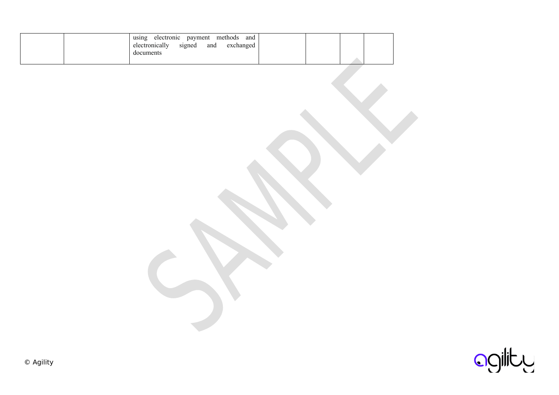| methods<br>payment<br>electronic<br>and<br>using<br>electronically<br>exchanged<br>signed<br>and<br>documents |  |
|---------------------------------------------------------------------------------------------------------------|--|
|                                                                                                               |  |

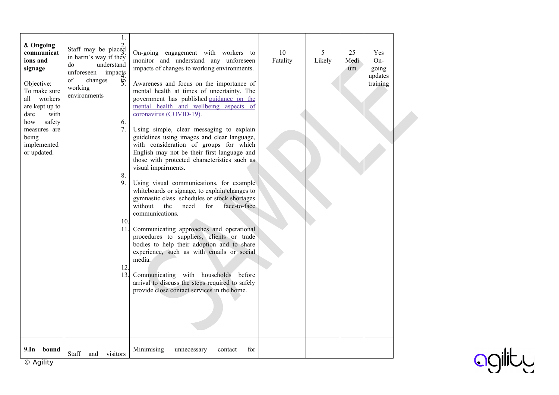| 8. Ongoing<br>communicat<br>ions and<br>signage<br>Objective:<br>To make sure<br>all workers<br>are kept up to<br>with<br>date<br>safety<br>how<br>measures are<br>being<br>implemented<br>or updated. | 1.<br>Staff may be placed<br>in harm's way if they<br>understand<br>do<br>unforeseen impacts<br>of<br>changes<br>$\ddot{g}$<br>working<br>environments<br>6.<br>7.<br>8.<br>9.<br>10.<br>11.1<br>12.<br>13. | On-going engagement with workers to<br>monitor and understand any unforeseen<br>impacts of changes to working environments.<br>Awareness and focus on the importance of<br>mental health at times of uncertainty. The<br>government has published guidance on the<br>mental health and wellbeing aspects of<br>coronavirus (COVID-19).<br>Using simple, clear messaging to explain<br>guidelines using images and clear language,<br>with consideration of groups for which<br>English may not be their first language and<br>those with protected characteristics such as<br>visual impairments.<br>Using visual communications, for example<br>whiteboards or signage, to explain changes to<br>gymnastic class schedules or stock shortages<br>without<br>the<br>need<br>for<br>face-to-face<br>communications.<br>Communicating approaches and operational<br>procedures to suppliers, clients or trade<br>bodies to help their adoption and to share<br>experience, such as with emails or social<br>media.<br>Communicating with households<br>before<br>arrival to discuss the steps required to safely<br>provide close contact services in the home. | 10<br>Fatality | 5<br>Likely | 25<br>Medi<br>um | Yes<br>$On-$<br>going<br>updates<br>training |  |
|--------------------------------------------------------------------------------------------------------------------------------------------------------------------------------------------------------|-------------------------------------------------------------------------------------------------------------------------------------------------------------------------------------------------------------|---------------------------------------------------------------------------------------------------------------------------------------------------------------------------------------------------------------------------------------------------------------------------------------------------------------------------------------------------------------------------------------------------------------------------------------------------------------------------------------------------------------------------------------------------------------------------------------------------------------------------------------------------------------------------------------------------------------------------------------------------------------------------------------------------------------------------------------------------------------------------------------------------------------------------------------------------------------------------------------------------------------------------------------------------------------------------------------------------------------------------------------------------------------|----------------|-------------|------------------|----------------------------------------------|--|
| 9.1n<br>bound                                                                                                                                                                                          | Staff<br>visitors<br>and                                                                                                                                                                                    | Minimising<br>for<br>contact<br>unnecessary                                                                                                                                                                                                                                                                                                                                                                                                                                                                                                                                                                                                                                                                                                                                                                                                                                                                                                                                                                                                                                                                                                                   |                |             |                  |                                              |  |



© Agility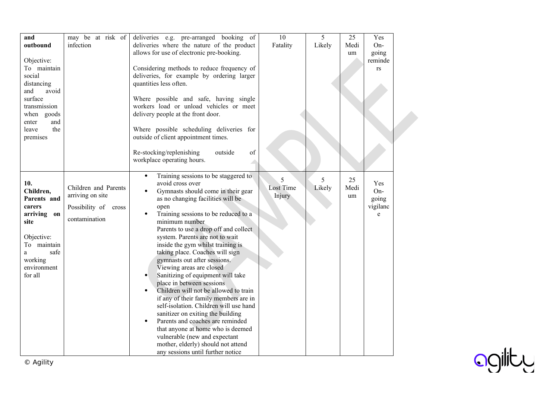| and<br>outbound<br>Objective:<br>To maintain<br>social<br>distancing<br>and<br>avoid<br>surface<br>transmission<br>when goods<br>and<br>enter<br>the<br>leave<br>premises | may be at risk of<br>infection                                                    | deliveries e.g. pre-arranged booking of<br>deliveries where the nature of the product<br>allows for use of electronic pre-booking.<br>Considering methods to reduce frequency of<br>deliveries, for example by ordering larger<br>quantities less often.<br>Where possible and safe, having single<br>workers load or unload vehicles or meet<br>delivery people at the front door.<br>Where possible scheduling deliveries for<br>outside of client appointment times.<br>of<br>Re-stocking/replenishing<br>outside<br>workplace operating hours.                                                                                                                                                                                                                                                                                                                                                                          | $\overline{10}$<br>Fatality     | 5<br>Likely | 25<br>Medi<br>um | Yes<br>On-<br>going<br>reminde<br>rs              |  |
|---------------------------------------------------------------------------------------------------------------------------------------------------------------------------|-----------------------------------------------------------------------------------|-----------------------------------------------------------------------------------------------------------------------------------------------------------------------------------------------------------------------------------------------------------------------------------------------------------------------------------------------------------------------------------------------------------------------------------------------------------------------------------------------------------------------------------------------------------------------------------------------------------------------------------------------------------------------------------------------------------------------------------------------------------------------------------------------------------------------------------------------------------------------------------------------------------------------------|---------------------------------|-------------|------------------|---------------------------------------------------|--|
| 10.<br>Children,<br>Parents and<br>carers<br>arriving on<br>site<br>Objective:<br>To maintain<br>safe<br>a<br>working<br>environment<br>for all                           | Children and Parents<br>arriving on site<br>Possibility of cross<br>contamination | Training sessions to be staggered to<br>$\bullet$<br>avoid cross over<br>Gymnasts should come in their gear<br>$\bullet$<br>as no changing facilities will be<br>open<br>Training sessions to be reduced to a<br>$\bullet$<br>minimum number<br>Parents to use a drop off and collect<br>system. Parents are not to wait<br>inside the gym whilst training is<br>taking place. Coaches will sign<br>gymnasts out after sessions.<br>Viewing areas are closed<br>Sanitizing of equipment will take<br>$\bullet$<br>place in between sessions<br>Children will not be allowed to train<br>$\bullet$<br>if any of their family members are in<br>self-isolation. Children will use hand<br>sanitizer on exiting the building<br>Parents and coaches are reminded<br>$\bullet$<br>that anyone at home who is deemed<br>vulnerable (new and expectant<br>mother, elderly) should not attend<br>any sessions until further notice | 5<br><b>Lost Time</b><br>Injury | 5<br>Likely | 25<br>Medi<br>um | <b>Yes</b><br>On-<br>going<br>vigilanc<br>$\rm e$ |  |

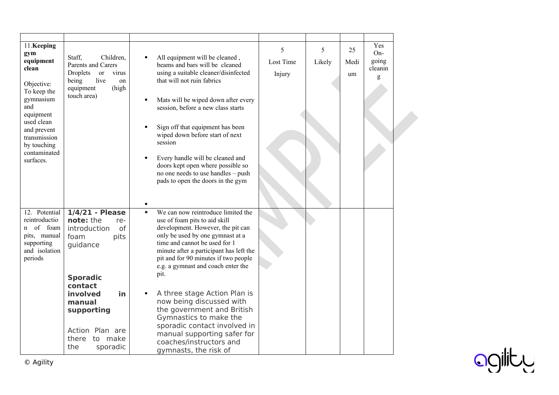| 11.Keeping<br>gym<br>equipment<br>clean<br>Objective:<br>To keep the<br>gymnasium<br>and<br>equipment<br>used clean<br>and prevent<br>transmission<br>by touching<br>contaminated<br>surfaces. | Staff.<br>Children.<br>Parents and Carers<br>Droplets<br><sub>or</sub><br>virus<br>being<br>live<br>on<br>equipment<br>(high<br>touch area) | All equipment will be cleaned,<br>beams and bars will be cleaned<br>using a suitable cleaner/disinfected<br>that will not ruin fabrics<br>Mats will be wiped down after every<br>session, before a new class starts<br>Sign off that equipment has been<br>wiped down before start of next<br>session<br>Every handle will be cleaned and<br>doors kept open where possible so<br>no one needs to use handles - push<br>pads to open the doors in the gym | 5<br>Lost Time<br>Injury | 5<br>Likely | 25<br>Medi<br>um | Yes<br>On-<br>going<br>cleanin<br>g |  |
|------------------------------------------------------------------------------------------------------------------------------------------------------------------------------------------------|---------------------------------------------------------------------------------------------------------------------------------------------|-----------------------------------------------------------------------------------------------------------------------------------------------------------------------------------------------------------------------------------------------------------------------------------------------------------------------------------------------------------------------------------------------------------------------------------------------------------|--------------------------|-------------|------------------|-------------------------------------|--|
| 12. Potential<br>reintroductio<br>of foam<br>n<br>pits, manual<br>supporting<br>and isolation<br>periods                                                                                       | $1/4/21$ - Please<br>note: the<br>re-<br>of<br>introduction<br>foam<br>pits<br>guidance<br><b>Sporadic</b><br>contact                       | We can now reintroduce limited the<br>$\bullet$<br>use of foam pits to aid skill<br>development. However, the pit can<br>only be used by one gymnast at a<br>time and cannot be used for 1<br>minute after a participant has left the<br>pit and for 90 minutes if two people<br>e.g. a gymnast and coach enter the<br>pit.                                                                                                                               |                          |             |                  |                                     |  |
|                                                                                                                                                                                                | involved<br>in<br>manual<br>supporting<br>Action Plan are<br>there to make<br>the<br>sporadic                                               | A three stage Action Plan is<br>now being discussed with<br>the government and British<br>Gymnastics to make the<br>sporadic contact involved in<br>manual supporting safer for<br>coaches/instructors and<br>gymnasts, the risk of                                                                                                                                                                                                                       |                          |             |                  |                                     |  |

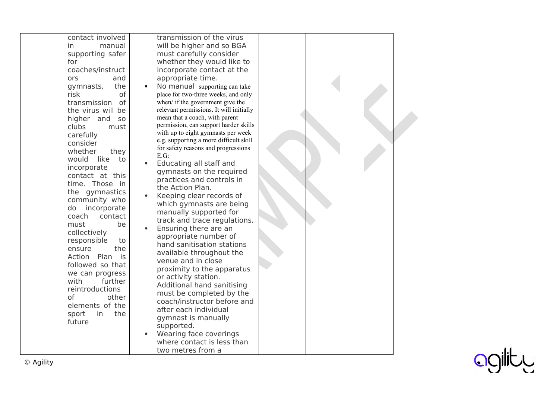| contact involved        | transmission of the virus                      |  |  |  |
|-------------------------|------------------------------------------------|--|--|--|
| in<br>manual            | will be higher and so BGA                      |  |  |  |
| supporting safer        | must carefully consider                        |  |  |  |
| for                     | whether they would like to                     |  |  |  |
| coaches/instruct        | incorporate contact at the                     |  |  |  |
| ors<br>and              | appropriate time.                              |  |  |  |
| the<br>gymnasts,        | No manual supporting can take                  |  |  |  |
| of<br>risk              | place for two-three weeks, and only            |  |  |  |
| transmission<br>of      | when/ if the government give the               |  |  |  |
| the virus will be       | relevant permissions. It will initially        |  |  |  |
| higher and<br><b>SO</b> | mean that a coach, with parent                 |  |  |  |
| clubs<br>must           | permission, can support harder skills          |  |  |  |
| carefully               | with up to eight gymnasts per week             |  |  |  |
| consider                | e.g. supporting a more difficult skill         |  |  |  |
| whether<br>they         | for safety reasons and progressions<br>$E.G$ : |  |  |  |
| would<br>like<br>to     | Educating all staff and                        |  |  |  |
| incorporate             | gymnasts on the required                       |  |  |  |
| contact at this         | practices and controls in                      |  |  |  |
| time. Those in          | the Action Plan.                               |  |  |  |
| the gymnastics          | Keeping clear records of                       |  |  |  |
| community who           | which gymnasts are being                       |  |  |  |
| do incorporate          | manually supported for                         |  |  |  |
| contact<br>coach        | track and trace regulations.                   |  |  |  |
| must<br>be              | Ensuring there are an                          |  |  |  |
| collectively            | appropriate number of                          |  |  |  |
| responsible<br>to       | hand sanitisation stations                     |  |  |  |
| the<br>ensure           | available throughout the                       |  |  |  |
| Action<br>Plan is       | venue and in close                             |  |  |  |
| followed so that        | proximity to the apparatus                     |  |  |  |
| we can progress         | or activity station.                           |  |  |  |
| with<br>further         | Additional hand sanitising                     |  |  |  |
| reintroductions         | must be completed by the                       |  |  |  |
| of<br>other             | coach/instructor before and                    |  |  |  |
| elements of the         | after each individual                          |  |  |  |
| sport<br>in<br>the      | gymnast is manually                            |  |  |  |
| future                  | supported.                                     |  |  |  |
|                         | Wearing face coverings                         |  |  |  |
|                         | where contact is less than                     |  |  |  |
|                         | two metres from a                              |  |  |  |
|                         |                                                |  |  |  |

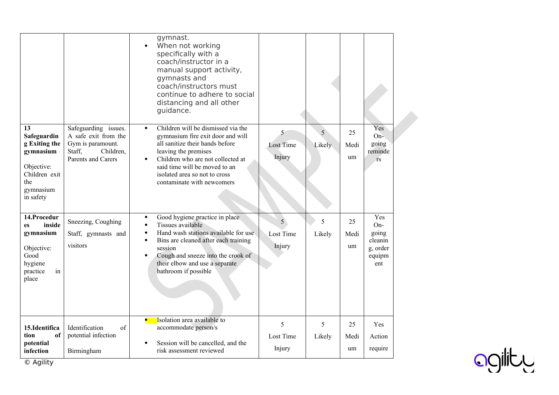|                                                                                                                 |                                                                                                                | gymnast.<br>When not working<br>specifically with a<br>coach/instructor in a<br>manual support activity,<br>gymnasts and<br>coach/instructors must<br>continue to adhere to social<br>distancing and all other<br>guidance.                                                                        |                                              |             |                  |                                                             |  |
|-----------------------------------------------------------------------------------------------------------------|----------------------------------------------------------------------------------------------------------------|----------------------------------------------------------------------------------------------------------------------------------------------------------------------------------------------------------------------------------------------------------------------------------------------------|----------------------------------------------|-------------|------------------|-------------------------------------------------------------|--|
| 13<br>Safeguardin<br>g Exiting the<br>gymnasium<br>Objective:<br>Children exit<br>the<br>gymnasium<br>in safety | Safeguarding issues.<br>A safe exit from the<br>Gym is paramount.<br>Staff,<br>Children,<br>Parents and Carers | Children will be dismissed via the<br>gymnasium fire exit door and will<br>all sanitize their hands before<br>leaving the premises<br>Children who are not collected at<br>said time will be moved to an<br>isolated area so not to cross<br>contaminate with newcomers                            | 5<br><b>Lost Time</b><br>Injury              | 5<br>Likely | 25<br>Medi<br>um | Yes<br>$On-$<br>going<br>reminde<br><b>rs</b>               |  |
| 14.Procedur<br>inside<br>es<br>gymnasium<br>Objective:<br>Good<br>hygiene<br>practice<br>in<br>place            | Sneezing, Coughing<br>Staff, gymnasts and<br>visitors                                                          | Good hygiene practice in place<br>Tissues available<br>$\bullet$<br>Hand wash stations available for use<br>$\bullet$<br>Bins are cleaned after each training<br>$\bullet$<br>session<br>Cough and sneeze into the crook of<br>$\bullet$<br>their elbow and use a separate<br>bathroom if possible | 5 <sup>°</sup><br><b>Lost Time</b><br>Injury | 5<br>Likely | 25<br>Medi<br>um | Yes<br>On-<br>going<br>cleanin<br>g, order<br>equipm<br>ent |  |
| 15.Identifica<br>tion<br>of<br>potential<br>infection                                                           | Identification<br>of<br>potential infection<br>Birmingham                                                      | Isolation area available to<br>accommodate person/s<br>Session will be cancelled, and the<br>risk assessment reviewed                                                                                                                                                                              | 5<br>Lost Time<br>Injury                     | 5<br>Likely | 25<br>Medi<br>um | Yes<br>Action<br>require                                    |  |

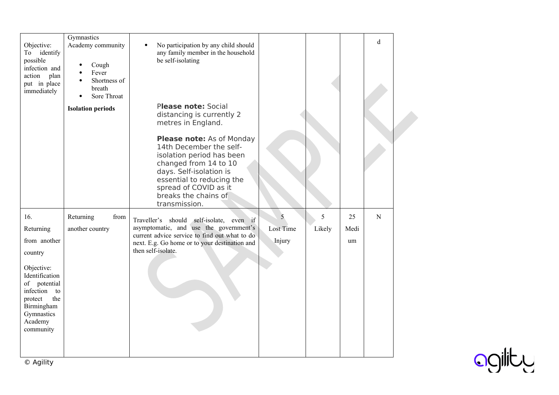| Objective:<br>identify<br>To<br>possible<br>infection and<br>action plan<br>put in place<br>immediately                                                                              | Gymnastics<br>Academy community<br>Cough<br>Fever<br>Shortness of<br>breath<br>Sore Throat | No participation by any child should<br>any family member in the household<br>be self-isolating                                                                                                                                             |                          |             |                  | d         |  |
|--------------------------------------------------------------------------------------------------------------------------------------------------------------------------------------|--------------------------------------------------------------------------------------------|---------------------------------------------------------------------------------------------------------------------------------------------------------------------------------------------------------------------------------------------|--------------------------|-------------|------------------|-----------|--|
|                                                                                                                                                                                      | <b>Isolation periods</b>                                                                   | Please note: Social<br>distancing is currently 2<br>metres in England.                                                                                                                                                                      |                          |             |                  |           |  |
|                                                                                                                                                                                      |                                                                                            | <b>Please note:</b> As of Monday<br>14th December the self-<br>isolation period has been<br>changed from 14 to 10<br>days. Self-isolation is<br>essential to reducing the<br>spread of COVID as it<br>breaks the chains of<br>transmission. |                          |             |                  |           |  |
| 16.<br>Returning<br>from another<br>country<br>Objective:<br>Identification<br>of potential<br>infection<br>to<br>the<br>protect<br>Birmingham<br>Gymnastics<br>Academy<br>community | Returning<br>from<br>another country                                                       | Traveller's should self-isolate, even if<br>asymptomatic, and use the government's<br>current advice service to find out what to do<br>next. E.g. Go home or to your destination and<br>then self-isolate.                                  | 5<br>Lost Time<br>Injury | 5<br>Likely | 25<br>Medi<br>um | ${\bf N}$ |  |

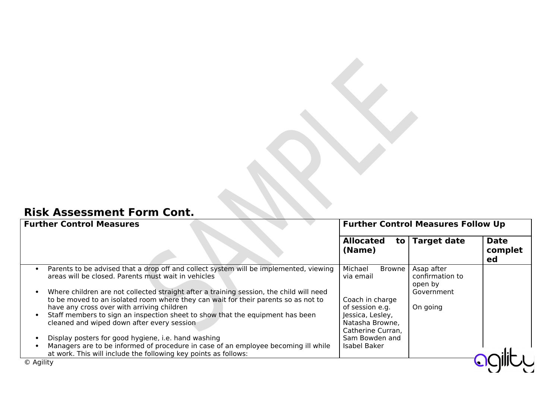## **Risk Assessment Form Cont.**

| <b>Further Control Measures</b>                                                                                                                                                                                                         | <b>Further Control Measures Follow Up</b>                |                                                        |                              |  |
|-----------------------------------------------------------------------------------------------------------------------------------------------------------------------------------------------------------------------------------------|----------------------------------------------------------|--------------------------------------------------------|------------------------------|--|
|                                                                                                                                                                                                                                         | <b>Allocated</b><br>(Name)                               | to   Target date                                       | <b>Date</b><br>complet<br>ed |  |
| Parents to be advised that a drop off and collect system will be implemented, viewing<br>areas will be closed. Parents must wait in vehicles<br>Where children are not collected straight after a training session, the child will need | Michael<br><b>Browne</b><br>via email                    | Asap after<br>confirmation to<br>open by<br>Government |                              |  |
| to be moved to an isolated room where they can wait for their parents so as not to<br>have any cross over with arriving children                                                                                                        | Coach in charge<br>of session e.g.                       | On going                                               |                              |  |
| Staff members to sign an inspection sheet to show that the equipment has been<br>cleaned and wiped down after every session                                                                                                             | Jessica, Lesley,<br>Natasha Browne,<br>Catherine Curran, |                                                        |                              |  |
| Display posters for good hygiene, i.e. hand washing<br>Managers are to be informed of procedure in case of an employee becoming ill while<br>at work. This will include the following key points as follows:                            | Sam Bowden and<br>Isabel Baker                           |                                                        |                              |  |
| © Agility                                                                                                                                                                                                                               |                                                          |                                                        |                              |  |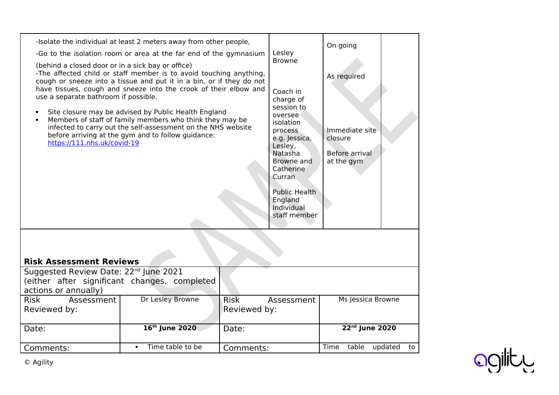| (behind a closed door or in a sick bay or office)<br>use a separate bathroom if possible.<br>$\bullet$<br>$\bullet$<br>https://111.nhs.uk/covid-19 | -Isolate the individual at least 2 meters away from other people,<br>-Go to the isolation room or area at the far end of the gymnasium<br>-The affected child or staff member is to avoid touching anything,<br>cough or sneeze into a tissue and put it in a bin, or if they do not<br>have tissues, cough and sneeze into the crook of their elbow and<br>Site closure may be advised by Public Health England<br>Members of staff of family members who think they may be<br>infected to carry out the self-assessment on the NHS website<br>before arriving at the gym and to follow guidance: |                             | Lesley<br><b>Browne</b><br>Coach in<br>charge of<br>session to<br>oversee<br>isolation<br>process<br>e.g. Jessica,<br>Lesley,<br>Natasha<br>Browne and<br>Catherine<br>Curran<br><b>Public Health</b><br>England<br>Individual<br>staff member | On going<br>As required<br>Immediate site<br>closure<br>Before arrival<br>at the gym |                   |    |
|----------------------------------------------------------------------------------------------------------------------------------------------------|----------------------------------------------------------------------------------------------------------------------------------------------------------------------------------------------------------------------------------------------------------------------------------------------------------------------------------------------------------------------------------------------------------------------------------------------------------------------------------------------------------------------------------------------------------------------------------------------------|-----------------------------|------------------------------------------------------------------------------------------------------------------------------------------------------------------------------------------------------------------------------------------------|--------------------------------------------------------------------------------------|-------------------|----|
| <b>Risk Assessment Reviews</b><br>Suggested Review Date: 22 <sup>nd</sup> June 2021                                                                |                                                                                                                                                                                                                                                                                                                                                                                                                                                                                                                                                                                                    |                             |                                                                                                                                                                                                                                                |                                                                                      |                   |    |
| actions or annually)                                                                                                                               | (either after significant changes, completed                                                                                                                                                                                                                                                                                                                                                                                                                                                                                                                                                       |                             |                                                                                                                                                                                                                                                |                                                                                      |                   |    |
| <b>Risk</b><br>Assessment<br>Reviewed by:                                                                                                          | Dr Lesley Browne                                                                                                                                                                                                                                                                                                                                                                                                                                                                                                                                                                                   | <b>Risk</b><br>Reviewed by: | Assessment                                                                                                                                                                                                                                     |                                                                                      | Ms Jessica Browne |    |
| Date:                                                                                                                                              | 16th June 2020                                                                                                                                                                                                                                                                                                                                                                                                                                                                                                                                                                                     | Date:                       |                                                                                                                                                                                                                                                |                                                                                      | 22nd June 2020    |    |
| Comments:                                                                                                                                          | Time table to be                                                                                                                                                                                                                                                                                                                                                                                                                                                                                                                                                                                   | Comments:                   |                                                                                                                                                                                                                                                | Time<br>table                                                                        | updated           | to |
|                                                                                                                                                    |                                                                                                                                                                                                                                                                                                                                                                                                                                                                                                                                                                                                    |                             |                                                                                                                                                                                                                                                |                                                                                      |                   |    |

ogility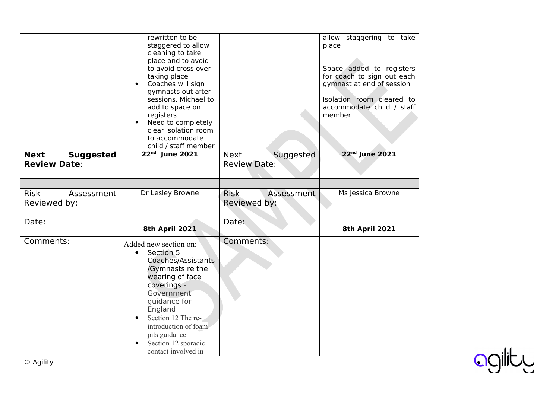|                                                        | rewritten to be<br>staggered to allow<br>cleaning to take<br>place and to avoid<br>to avoid cross over<br>taking place<br>Coaches will sign<br>gymnasts out after<br>sessions. Michael to<br>add to space on<br>registers<br>Need to completely<br>clear isolation room<br>to accommodate<br>child / staff member |                                                 | allow staggering to take<br>place<br>Space added to registers<br>for coach to sign out each<br>gymnast at end of session<br>Isolation room cleared to<br>accommodate child / staff<br>member |
|--------------------------------------------------------|-------------------------------------------------------------------------------------------------------------------------------------------------------------------------------------------------------------------------------------------------------------------------------------------------------------------|-------------------------------------------------|----------------------------------------------------------------------------------------------------------------------------------------------------------------------------------------------|
| <b>Next</b><br><b>Suggested</b><br><b>Review Date:</b> | 22 <sup>nd</sup> June 2021                                                                                                                                                                                                                                                                                        | Suggested<br><b>Next</b><br><b>Review Date:</b> | 22 <sup>nd</sup> June 2021                                                                                                                                                                   |
|                                                        |                                                                                                                                                                                                                                                                                                                   |                                                 |                                                                                                                                                                                              |
| <b>Risk</b><br>Assessment<br>Reviewed by:              | Dr Lesley Browne                                                                                                                                                                                                                                                                                                  | <b>Risk</b><br>Assessment<br>Reviewed by:       | Ms Jessica Browne                                                                                                                                                                            |
| Date:                                                  | 8th April 2021                                                                                                                                                                                                                                                                                                    | Date:                                           | 8th April 2021                                                                                                                                                                               |
| Comments:                                              | Added new section on:<br>Section 5<br>$\bullet$<br>Coaches/Assistants<br>/Gymnasts re the<br>wearing of face<br>coverings -<br>Government<br>guidance for<br>England<br>Section 12 The re-<br>introduction of foam<br>pits guidance<br>Section 12 sporadic<br>contact involved in                                 | Comments:                                       |                                                                                                                                                                                              |